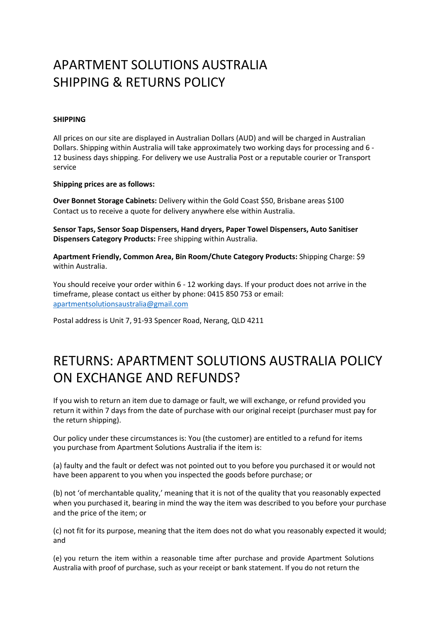## APARTMENT SOLUTIONS AUSTRALIA SHIPPING & RETURNS POLICY

## **SHIPPING**

All prices on our site are displayed in Australian Dollars (AUD) and will be charged in Australian Dollars. Shipping within Australia will take approximately two working days for processing and 6 - 12 business days shipping. For delivery we use Australia Post or a reputable courier or Transport service

**Shipping prices are as follows:**

**Over Bonnet Storage Cabinets:** Delivery within the Gold Coast \$50, Brisbane areas \$100 Contact us to receive a quote for delivery anywhere else within Australia.

**Sensor Taps, Sensor Soap Dispensers, Hand dryers, Paper Towel Dispensers, Auto Sanitiser Dispensers Category Products:** Free shipping within Australia.

**Apartment Friendly, Common Area, Bin Room/Chute Category Products:** Shipping Charge: \$9 within Australia.

You should receive your order within 6 - 12 working days. If your product does not arrive in the timeframe, please contact us either by phone: 0415 850 753 or email: apartmentsolutionsaustralia@gmail.com

Postal address is Unit 7, 91-93 Spencer Road, Nerang, QLD 4211

## RETURNS: APARTMENT SOLUTIONS AUSTRALIA POLICY ON EXCHANGE AND REFUNDS?

If you wish to return an item due to damage or fault, we will exchange, or refund provided you return it within 7 days from the date of purchase with our original receipt (purchaser must pay for the return shipping).

Our policy under these circumstances is: You (the customer) are entitled to a refund for items you purchase from Apartment Solutions Australia if the item is:

(a) faulty and the fault or defect was not pointed out to you before you purchased it or would not have been apparent to you when you inspected the goods before purchase; or

(b) not 'of merchantable quality,' meaning that it is not of the quality that you reasonably expected when you purchased it, bearing in mind the way the item was described to you before your purchase and the price of the item; or

(c) not fit for its purpose, meaning that the item does not do what you reasonably expected it would; and

(e) you return the item within a reasonable time after purchase and provide Apartment Solutions Australia with proof of purchase, such as your receipt or bank statement. If you do not return the